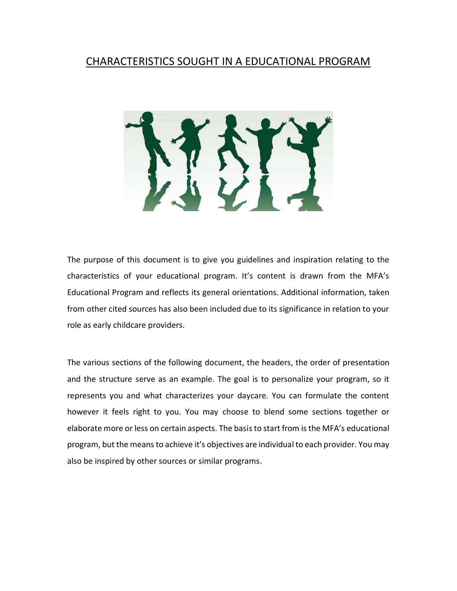# CHARACTERISTICS SOUGHT IN A EDUCATIONAL PROGRAM



The purpose of this document is to give you guidelines and inspiration relating to the characteristics of your educational program. It's content is drawn from the MFA's Educational Program and reflects its general orientations. Additional information, taken from other cited sources has also been included due to its significance in relation to your role as early childcare providers.

The various sections of the following document, the headers, the order of presentation and the structure serve as an example. The goal is to personalize your program, so it represents you and what characterizes your daycare. You can formulate the content however it feels right to you. You may choose to blend some sections together or elaborate more or less on certain aspects. The basis to start from is the MFA's educational program, but the means to achieve it's objectives are individual to each provider. You may also be inspired by other sources or similar programs.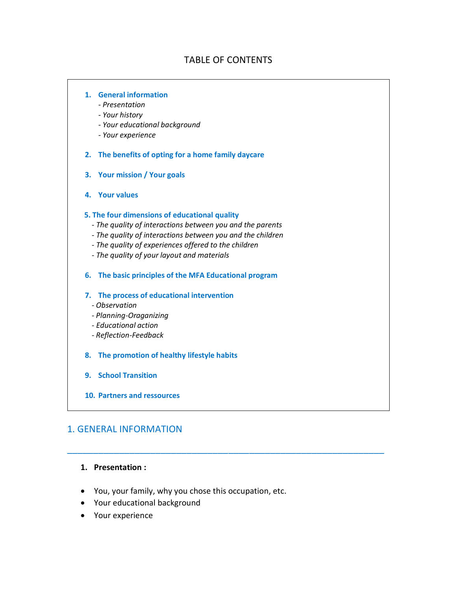## TABLE OF CONTENTS

#### **1. General information**

- *- Presentation*
- *- Your history*
- *- Your educational background*
- *- Your experience*
- **2. The benefits of opting for a home family daycare**
- **3. Your mission / Your goals**
- **4. Your values**

#### **5. The four dimensions of educational quality**

- *- The quality of interactions between you and the parents*
- *- The quality of interactions between you and the children*
- *- The quality of experiences offered to the children*
- *- The quality of your layout and materials*
- **6. The basic principles of the MFA Educational program**
- **7. The process of educational intervention**
	- *- Observation*
	- *- Planning-Oraganizing*
	- *- Educational action*
	- *- Reflection-Feedback*
- **8. The promotion of healthy lifestyle habits**
- **9. School Transition**
- **10. Partners and ressources**

## 1. GENERAL INFORMATION

## **1. Presentation :**

You, your family, why you chose this occupation, etc.

- Your educational background
- Your experience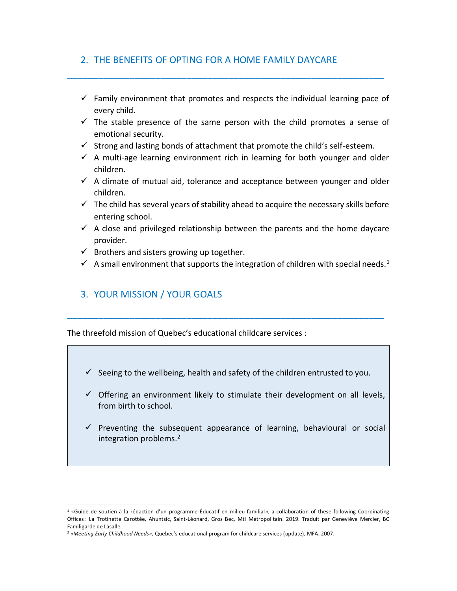# 2. THE BENEFITS OF OPTING FOR A HOME FAMILY DAYCARE

 $\checkmark$  Family environment that promotes and respects the individual learning pace of every child.

\_\_\_\_\_\_\_\_\_\_\_\_\_\_\_\_\_\_\_\_\_\_\_\_\_\_\_\_\_\_\_\_\_\_\_\_\_\_\_\_\_\_\_\_\_\_\_\_\_\_\_\_\_\_\_\_\_\_\_\_\_

- $\checkmark$  The stable presence of the same person with the child promotes a sense of emotional security.
- $\checkmark$  Strong and lasting bonds of attachment that promote the child's self-esteem.
- $\checkmark$  A multi-age learning environment rich in learning for both younger and older children.
- $\checkmark$  A climate of mutual aid, tolerance and acceptance between younger and older children.
- $\checkmark$  The child has several years of stability ahead to acquire the necessary skills before entering school.
- $\checkmark$  A close and privileged relationship between the parents and the home daycare provider.
- $\checkmark$  Brothers and sisters growing up together.
- $\checkmark$  A small environment that supports the integration of children with special needs.<sup>1</sup>

# 3. YOUR MISSION / YOUR GOALS

 $\overline{a}$ 

The threefold mission of Quebec's educational childcare services :

 $\checkmark$  Seeing to the wellbeing, health and safety of the children entrusted to you.

- $\checkmark$  Offering an environment likely to stimulate their development on all levels, from birth to school.
- $\checkmark$  Preventing the subsequent appearance of learning, behavioural or social integration problems.<sup>2</sup>

<sup>1</sup> «Guide de soutien à la rédaction d'un programme Éducatif en milieu familial», a collaboration of these following Coordinating Offices : La Trotinette Carottée, Ahuntsic, Saint-Léonard, Gros Bec, Mtl Métropolitain. 2019. Traduit par Geneviève Mercier, BC Familigarde de Lasalle.

<sup>2</sup> *«Meeting Early Childhood Needs»*, Quebec's educational program for childcare services (update), MFA, 2007.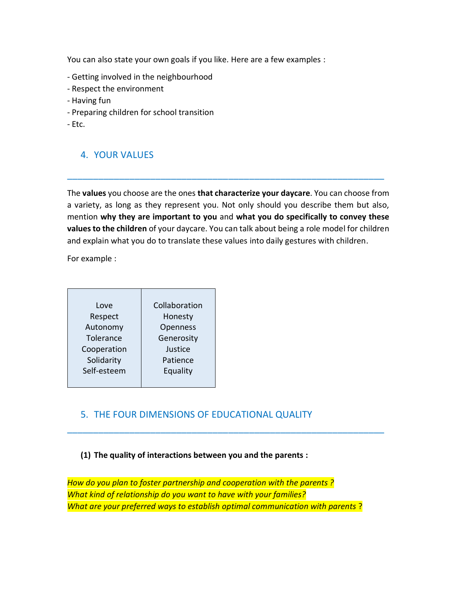You can also state your own goals if you like. Here are a few examples :

- Getting involved in the neighbourhood
- Respect the environment
- Having fun
- Preparing children for school transition
- Etc.

# 4. YOUR VALUES

The **values** you choose are the ones **that characterize your daycare**. You can choose from a variety, as long as they represent you. Not only should you describe them but also, mention **why they are important to you** and **what you do specifically to convey these values to the children** of your daycare. You can talk about being a role model for children and explain what you do to translate these values into daily gestures with children.

\_\_\_\_\_\_\_\_\_\_\_\_\_\_\_\_\_\_\_\_\_\_\_\_\_\_\_\_\_\_\_\_\_\_\_\_\_\_\_\_\_\_\_\_\_\_\_\_\_\_\_\_\_\_\_\_\_\_\_\_\_

For example :

| Love        | Collaboration |
|-------------|---------------|
| Respect     | Honesty       |
| Autonomy    | Openness      |
| Tolerance   | Generosity    |
| Cooperation | Justice       |
| Solidarity  | Patience      |
| Self-esteem | Equality      |
|             |               |

# 5. THE FOUR DIMENSIONS OF EDUCATIONAL QUALITY

## **(1) The quality of interactions between you and the parents :**

*How do you plan to foster partnership and cooperation with the parents ? What kind of relationship do you want to have with your families? What are your preferred ways to establish optimal communication with parents* ?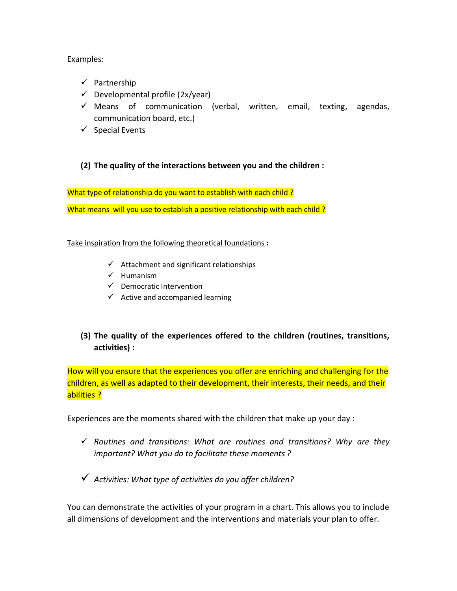Examples:

- $\checkmark$  Partnership
- $\checkmark$  Developmental profile (2x/year)
- $\checkmark$  Means of communication (verbal, written, email, texting, agendas, communication board, etc.)
- $\checkmark$  Special Events
- **(2) The quality of the interactions between you and the children :**

What type of relationship do you want to establish with each child? What means will you use to establish a positive relationship with each child?

## Take inspiration from the following theoretical foundations **:**

- $\checkmark$  Attachment and significant relationships
- $\checkmark$  Humanism
- $\checkmark$  Democratic Intervention
- $\checkmark$  Active and accompanied learning
- **(3) The quality of the experiences offered to the children (routines, transitions, activities) :**

How will you ensure that the experiences you offer are enriching and challenging for the children, as well as adapted to their development, their interests, their needs, and their abilities ?

Experiences are the moments shared with the children that make up your day :

 *Routines and transitions: What are routines and transitions? Why are they important? What you do to facilitate these moments ?*

*Activities: What type of activities do you offer children?* 

You can demonstrate the activities of your program in a chart. This allows you to include all dimensions of development and the interventions and materials your plan to offer.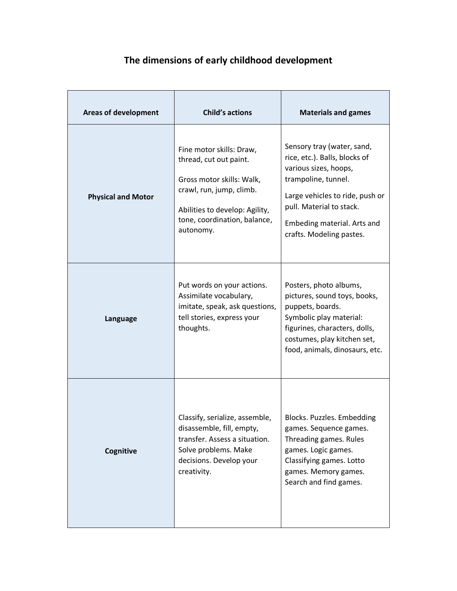# **The dimensions of early childhood development**

| <b>Areas of development</b> | <b>Child's actions</b>                                                                                                                                                                     | <b>Materials and games</b>                                                                                                                                                                                                            |
|-----------------------------|--------------------------------------------------------------------------------------------------------------------------------------------------------------------------------------------|---------------------------------------------------------------------------------------------------------------------------------------------------------------------------------------------------------------------------------------|
| <b>Physical and Motor</b>   | Fine motor skills: Draw,<br>thread, cut out paint.<br>Gross motor skills: Walk,<br>crawl, run, jump, climb.<br>Abilities to develop: Agility,<br>tone, coordination, balance,<br>autonomy. | Sensory tray (water, sand,<br>rice, etc.). Balls, blocks of<br>various sizes, hoops,<br>trampoline, tunnel.<br>Large vehicles to ride, push or<br>pull. Material to stack.<br>Embeding material. Arts and<br>crafts. Modeling pastes. |
| Language                    | Put words on your actions.<br>Assimilate vocabulary,<br>imitate, speak, ask questions,<br>tell stories, express your<br>thoughts.                                                          | Posters, photo albums,<br>pictures, sound toys, books,<br>puppets, boards.<br>Symbolic play material:<br>figurines, characters, dolls,<br>costumes, play kitchen set,<br>food, animals, dinosaurs, etc.                               |
| Cognitive                   | Classify, serialize, assemble,<br>disassemble, fill, empty,<br>transfer. Assess a situation.<br>Solve problems. Make<br>decisions. Develop your<br>creativity.                             | Blocks. Puzzles. Embedding<br>games. Sequence games.<br>Threading games. Rules<br>games. Logic games.<br>Classifying games. Lotto<br>games. Memory games.<br>Search and find games.                                                   |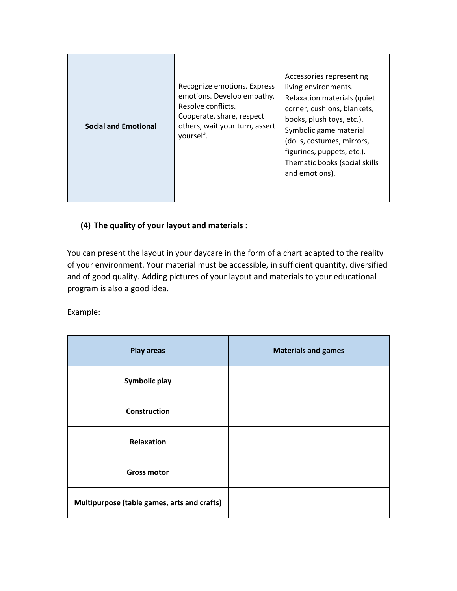| <b>Social and Emotional</b><br>yourself. | Recognize emotions. Express<br>emotions. Develop empathy.<br>Resolve conflicts.<br>Cooperate, share, respect<br>others, wait your turn, assert | Accessories representing<br>living environments.<br>Relaxation materials (quiet<br>corner, cushions, blankets,<br>books, plush toys, etc.).<br>Symbolic game material<br>(dolls, costumes, mirrors,<br>figurines, puppets, etc.).<br>Thematic books (social skills<br>and emotions). |
|------------------------------------------|------------------------------------------------------------------------------------------------------------------------------------------------|--------------------------------------------------------------------------------------------------------------------------------------------------------------------------------------------------------------------------------------------------------------------------------------|
|------------------------------------------|------------------------------------------------------------------------------------------------------------------------------------------------|--------------------------------------------------------------------------------------------------------------------------------------------------------------------------------------------------------------------------------------------------------------------------------------|

# **(4) The quality of your layout and materials :**

You can present the layout in your daycare in the form of a chart adapted to the reality of your environment. Your material must be accessible, in sufficient quantity, diversified and of good quality. Adding pictures of your layout and materials to your educational program is also a good idea.

Example:

| <b>Play areas</b>                           | <b>Materials and games</b> |
|---------------------------------------------|----------------------------|
| Symbolic play                               |                            |
| <b>Construction</b>                         |                            |
| Relaxation                                  |                            |
| <b>Gross motor</b>                          |                            |
| Multipurpose (table games, arts and crafts) |                            |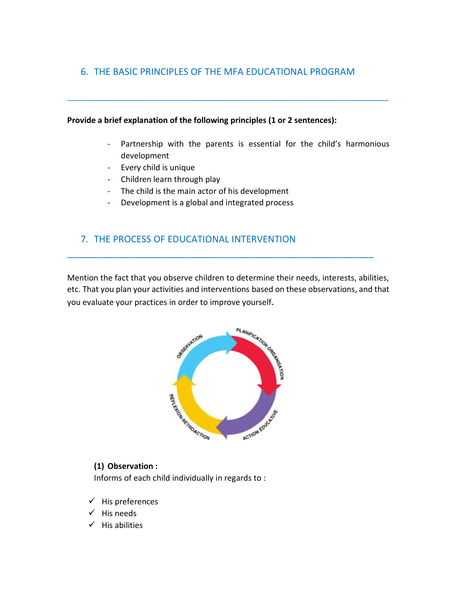# 6. THE BASIC PRINCIPLES OF THE MFA EDUCATIONAL PROGRAM

\_\_\_\_\_\_\_\_\_\_\_\_\_\_\_\_\_\_\_\_\_\_\_\_\_\_\_\_\_\_\_\_\_\_\_\_\_\_\_\_\_\_\_\_\_\_\_\_\_\_\_\_\_\_\_\_\_\_\_\_\_\_\_\_\_\_\_\_\_\_\_\_

#### **Provide a brief explanation of the following principles (1 or 2 sentences):**

- Partnership with the parents is essential for the child's harmonious development
- Every child is unique
- Children learn through play
- The child is the main actor of his development
- Development is a global and integrated process

# 7. THE PROCESS OF EDUCATIONAL INTERVENTION

Mention the fact that you observe children to determine their needs, interests, abilities, etc. That you plan your activities and interventions based on these observations, and that you evaluate your practices in order to improve yourself.

\_\_\_\_\_\_\_\_\_\_\_\_\_\_\_\_\_\_\_\_\_\_\_\_\_\_\_\_\_\_\_\_\_\_\_\_\_\_\_\_\_\_\_\_\_\_\_\_\_\_\_\_\_\_\_\_\_\_\_



## **(1) Observation :**

Informs of each child individually in regards to :

- $\checkmark$  His preferences
- $\checkmark$  His needs
- $\checkmark$  His abilities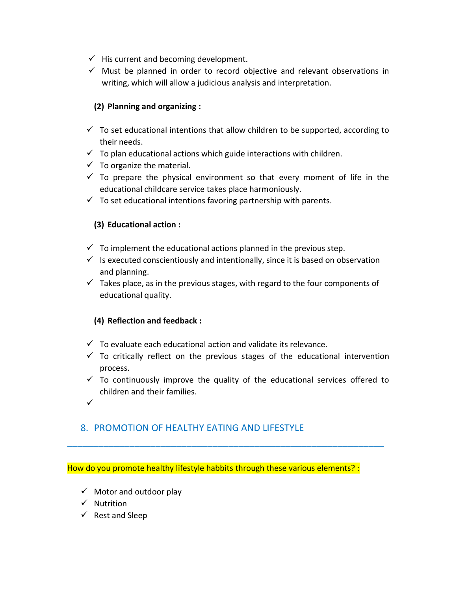- $\checkmark$  His current and becoming development.
- $\checkmark$  Must be planned in order to record objective and relevant observations in writing, which will allow a judicious analysis and interpretation.

## **(2) Planning and organizing :**

- $\checkmark$  To set educational intentions that allow children to be supported, according to their needs.
- $\checkmark$  To plan educational actions which guide interactions with children.
- $\checkmark$  To organize the material.
- $\checkmark$  To prepare the physical environment so that every moment of life in the educational childcare service takes place harmoniously.
- $\checkmark$  To set educational intentions favoring partnership with parents.

## **(3) Educational action :**

- $\checkmark$  To implement the educational actions planned in the previous step.
- $\checkmark$  Is executed conscientiously and intentionally, since it is based on observation and planning.
- $\checkmark$  Takes place, as in the previous stages, with regard to the four components of educational quality.

# **(4) Reflection and feedback :**

- $\checkmark$  To evaluate each educational action and validate its relevance.
- $\checkmark$  To critically reflect on the previous stages of the educational intervention process.
- $\checkmark$  To continuously improve the quality of the educational services offered to children and their families.
- $\checkmark$

# 8. PROMOTION OF HEALTHY EATING AND LIFESTYLE

How do you promote healthy lifestyle habbits through these various elements? :

- $\checkmark$  Motor and outdoor play
- $\checkmark$  Nutrition
- $\checkmark$  Rest and Sleep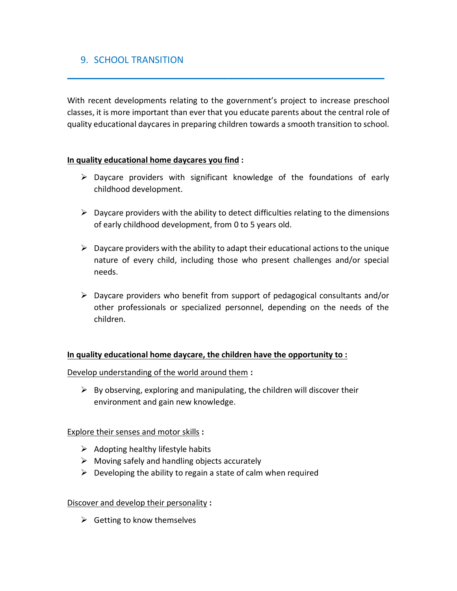# 9. SCHOOL TRANSITION

With recent developments relating to the government's project to increase preschool classes, it is more important than ever that you educate parents about the central role of quality educational daycares in preparing children towards a smooth transition to school.

 $\frac{1}{2}$  ,  $\frac{1}{2}$  ,  $\frac{1}{2}$  ,  $\frac{1}{2}$  ,  $\frac{1}{2}$  ,  $\frac{1}{2}$  ,  $\frac{1}{2}$  ,  $\frac{1}{2}$  ,  $\frac{1}{2}$  ,  $\frac{1}{2}$  ,  $\frac{1}{2}$  ,  $\frac{1}{2}$  ,  $\frac{1}{2}$  ,  $\frac{1}{2}$  ,  $\frac{1}{2}$  ,  $\frac{1}{2}$  ,  $\frac{1}{2}$  ,  $\frac{1}{2}$  ,  $\frac{1$ 

## **In quality educational home daycares you find :**

- $\triangleright$  Daycare providers with significant knowledge of the foundations of early childhood development.
- $\triangleright$  Daycare providers with the ability to detect difficulties relating to the dimensions of early childhood development, from 0 to 5 years old.
- $\triangleright$  Daycare providers with the ability to adapt their educational actions to the unique nature of every child, including those who present challenges and/or special needs.
- $\triangleright$  Daycare providers who benefit from support of pedagogical consultants and/or other professionals or specialized personnel, depending on the needs of the children.

#### **In quality educational home daycare, the children have the opportunity to :**

Develop understanding of the world around them **:**

 $\triangleright$  By observing, exploring and manipulating, the children will discover their environment and gain new knowledge.

#### Explore their senses and motor skills **:**

- $\triangleright$  Adopting healthy lifestyle habits
- $\triangleright$  Moving safely and handling objects accurately
- $\triangleright$  Developing the ability to regain a state of calm when required

#### Discover and develop their personality **:**

 $\triangleright$  Getting to know themselves